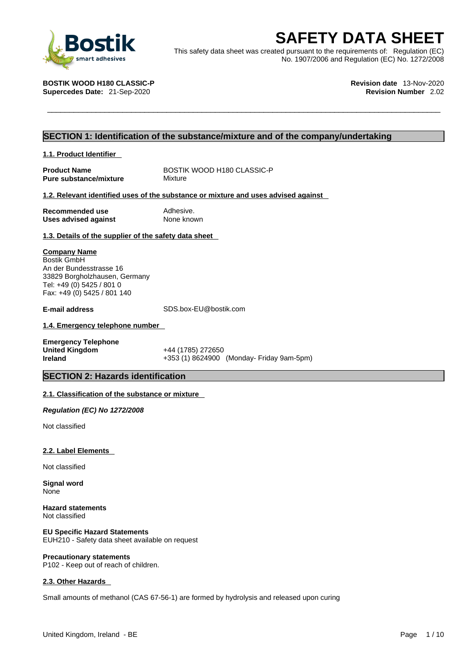

**SAFETY DATA SHEET**<br>
This safety data sheet was created pursuant to the requirements of: Regulation (EC)<br>
No. 1907/2006 and Regulation (EC) No. 1272/2008<br>
No. 1907/2006 and Regulation (EC) No. 1272/2008<br>
Revision date 13-N This safety data sheet was created pursuant to the requirements of: Regulation (EC) No. 1907/2006 and Regulation (EC) No. 1272/2008

**Supercedes Date: 21-Sep-2020** 

**BOSTIK WOOD H180 CLASSIC-P Revision date** 13-Nov-2020

# **SECTION 1: Identification of the substance/mixture and of the company/undertaking**

## **1.1. Product Identifier**

**Pure substance/mixture** 

**Product Name** BOSTIK WOOD H180 CLASSIC-P<br> **Pure substance/mixture** Mixture Mixture

## **1.2. Relevant identified uses of the substance or mixture and uses advised against**

**Recommended use** Adhesive.<br> **Uses advised against** None known **Uses** advised against

## **1.3. Details of the supplier of the safety data sheet**

### **Company Name**

Bostik GmbH An der Bundesstrasse 16 33829 Borgholzhausen, Germany Tel: +49 (0) 5425 / 801 0 Fax: +49 (0) 5425 / 801 140

**E-mail address** SDS.box-EU@bostik.com

# **1.4. Emergency telephone number**

| <b>Emergency Telephone</b> |           |
|----------------------------|-----------|
| <b>United Kingdom</b>      | +44 (1785 |
| <b>Ireland</b>             | $+353(1)$ |

**United Kingdom** +44 (1785) 272650 **Ireland** +353 (1) 8624900 (Monday- Friday 9am-5pm)

# **SECTION 2: Hazards identification**

# **2.1. Classification of the substance or mixture**

*Regulation (EC) No 1272/2008* 

Not classified

### **2.2. Label Elements**

Not classified

**Signal word** None

**Hazard statements** Not classified

**EU Specific Hazard Statements** EUH210 - Safety data sheet available on request

# **2.3. Other Hazards**

**Precautionary statements**

P102 - Keep out of reach of children.

Small amounts of methanol (CAS 67-56-1) are formed by hydrolysis and released upon curing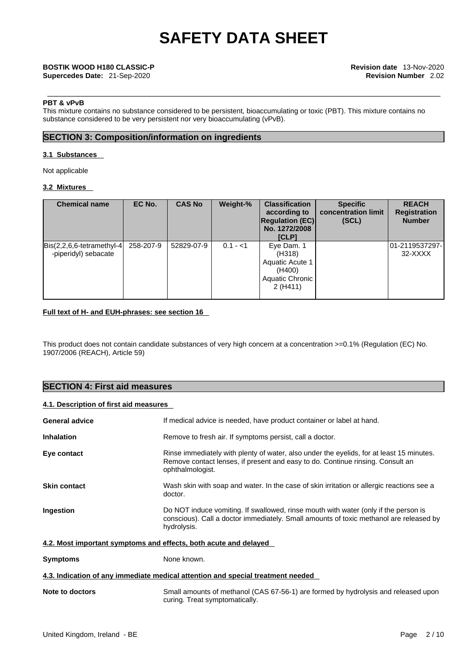### **PBT & vPvB**

This mixture contains no substance considered to be persistent, bioaccumulating or toxic (PBT). This mixture contains no substance considered to be very persistent nor very bioaccumulating (vPvB).

# **SECTION 3: Composition/information on ingredients**

## **3.1 Substances**

Not applicable

# **3.2 Mixtures**

| <b>Chemical name</b>                                                     | EC No.    | <b>CAS No</b> | Weight-%  | <b>Classification</b><br>according to<br><b>Regulation (EC)</b><br>No. 1272/2008<br>[CLP] | <b>Specific</b><br>concentration limit<br>(SCL) | <b>REACH</b><br><b>Registration</b><br><b>Number</b> |
|--------------------------------------------------------------------------|-----------|---------------|-----------|-------------------------------------------------------------------------------------------|-------------------------------------------------|------------------------------------------------------|
| $\left  Bis(2,2,6,6\text{-tetramethyl-4}\right $<br>-piperidyl) sebacate | 258-207-9 | 52829-07-9    | $0.1 - 1$ | Eye Dam. 1<br>(H318)<br>Aquatic Acute 1<br>(H400)<br>Aquatic Chronic  <br>2(H411)         |                                                 | 01-2119537297-<br>32-XXXX                            |

# **Full text of H- and EUH-phrases: see section 16**

This product does not contain candidate substances of very high concern at a concentration >=0.1% (Regulation (EC) No. 1907/2006 (REACH), Article 59)

# **SECTION 4: First aid measures**

# **4.1. Description of first aid measures**

| <b>General advice</b>                                                           | If medical advice is needed, have product container or label at hand.                                                                                                                          |  |  |  |
|---------------------------------------------------------------------------------|------------------------------------------------------------------------------------------------------------------------------------------------------------------------------------------------|--|--|--|
| <b>Inhalation</b>                                                               | Remove to fresh air. If symptoms persist, call a doctor.                                                                                                                                       |  |  |  |
| Eye contact                                                                     | Rinse immediately with plenty of water, also under the eyelids, for at least 15 minutes.<br>Remove contact lenses, if present and easy to do. Continue rinsing. Consult an<br>ophthalmologist. |  |  |  |
| <b>Skin contact</b>                                                             | Wash skin with soap and water. In the case of skin irritation or allergic reactions see a<br>doctor.                                                                                           |  |  |  |
| Ingestion                                                                       | Do NOT induce vomiting. If swallowed, rinse mouth with water (only if the person is<br>conscious). Call a doctor immediately. Small amounts of toxic methanol are released by<br>hydrolysis.   |  |  |  |
| 4.2. Most important symptoms and effects, both acute and delayed                |                                                                                                                                                                                                |  |  |  |
| <b>Symptoms</b>                                                                 | None known.                                                                                                                                                                                    |  |  |  |
| 4.3. Indication of any immediate medical attention and special treatment needed |                                                                                                                                                                                                |  |  |  |
| Note to doctors                                                                 | Small amounts of methanol (CAS 67-56-1) are formed by hydrolysis and released upon<br>curing. Treat symptomatically.                                                                           |  |  |  |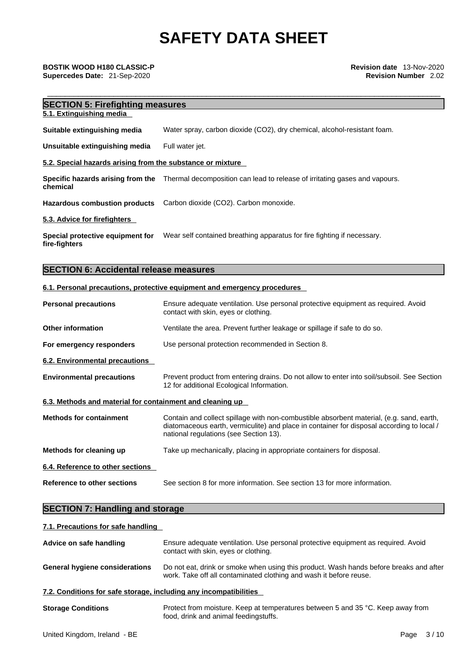# **SECTION 5: Firefighting measures**

**5.1. Extinguishing media** 

**Suitable extinguishing media** Water spray, carbon dioxide (CO2), dry chemical, alcohol-resistant foam.

**Unsuitable extinguishing media** Full water jet.

### **5.2. Special hazards arising from the substance or mixture**

**Specific hazards arising from the** Thermal decomposition can lead to release of irritating gases and vapours. **chemical**

**Hazardous combustion products** Carbon dioxide (CO2). Carbon monoxide.

### **5.3. Advice for firefighters**

**Special protective equipment for** Wear self contained breathing apparatus for fire fighting if necessary. **fire-fighters**

# **SECTION 6: Accidental release measures**

### **6.1. Personal precautions, protective equipment and emergency procedures**

| <b>Personal precautions</b>                               | Ensure adequate ventilation. Use personal protective equipment as required. Avoid<br>contact with skin, eyes or clothing.                                                                                                       |
|-----------------------------------------------------------|---------------------------------------------------------------------------------------------------------------------------------------------------------------------------------------------------------------------------------|
| <b>Other information</b>                                  | Ventilate the area. Prevent further leakage or spillage if safe to do so.                                                                                                                                                       |
| For emergency responders                                  | Use personal protection recommended in Section 8.                                                                                                                                                                               |
| 6.2. Environmental precautions                            |                                                                                                                                                                                                                                 |
| <b>Environmental precautions</b>                          | Prevent product from entering drains. Do not allow to enter into soil/subsoil. See Section<br>12 for additional Ecological Information.                                                                                         |
| 6.3. Methods and material for containment and cleaning up |                                                                                                                                                                                                                                 |
| <b>Methods for containment</b>                            | Contain and collect spillage with non-combustible absorbent material, (e.g. sand, earth,<br>diatomaceous earth, vermiculite) and place in container for disposal according to local /<br>national regulations (see Section 13). |
| Methods for cleaning up                                   | Take up mechanically, placing in appropriate containers for disposal.                                                                                                                                                           |
| 6.4. Reference to other sections                          |                                                                                                                                                                                                                                 |
| Reference to other sections                               | See section 8 for more information. See section 13 for more information.                                                                                                                                                        |

# **SECTION 7: Handling and storage**

| 7.1. Precautions for safe handling                                |                                                                                                                                                              |  |  |  |
|-------------------------------------------------------------------|--------------------------------------------------------------------------------------------------------------------------------------------------------------|--|--|--|
| Advice on safe handling                                           | Ensure adequate ventilation. Use personal protective equipment as required. Avoid<br>contact with skin, eyes or clothing.                                    |  |  |  |
| <b>General hygiene considerations</b>                             | Do not eat, drink or smoke when using this product. Wash hands before breaks and after<br>work. Take off all contaminated clothing and wash it before reuse. |  |  |  |
| 7.2. Conditions for safe storage, including any incompatibilities |                                                                                                                                                              |  |  |  |
| <b>Storage Conditions</b>                                         | Protect from moisture. Keep at temperatures between 5 and 35 °C. Keep away from<br>food, drink and animal feedingstuffs.                                     |  |  |  |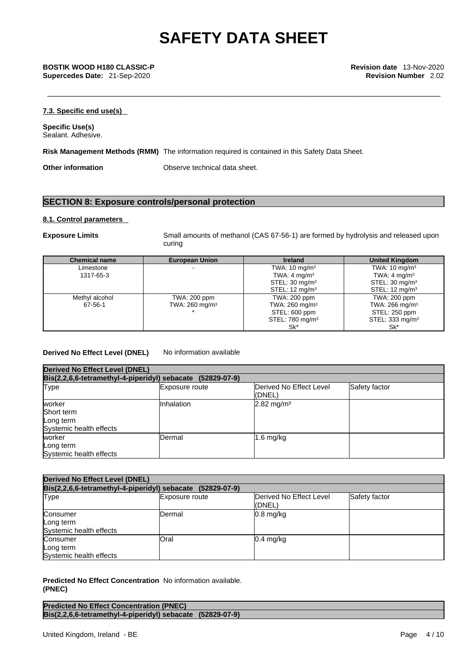\_\_\_\_\_\_\_\_\_\_\_\_\_\_\_\_\_\_\_\_\_\_\_\_\_\_\_\_\_\_\_\_\_\_\_\_\_\_\_\_\_\_\_\_\_\_\_\_\_\_\_\_\_\_\_\_\_\_\_\_\_\_\_\_\_\_\_\_\_\_\_\_\_\_\_\_\_\_\_\_\_\_\_\_\_\_\_\_\_ **BOSTIK WOOD H180 CLASSIC-P Revision date** 13-Nov-2020 **Supercedes Date:** 21-Sep-2020 **Revision Number** 2.02

# **7.3. Specific end use(s)**

**Specific Use(s)** Sealant. Adhesive.

**Risk Management Methods (RMM)** The information required is contained in this Safety Data Sheet.

**Other information** Observe technical data sheet.

# **SECTION 8: Exposure controls/personal protection**

### **8.1. Control parameters**

**Exposure Limits** Small amounts of methanol (CAS 67-56-1) are formed by hydrolysis and released upon curing

| <b>Chemical name</b> | <b>European Union</b>     | <b>Ireland</b>              | <b>United Kingdom</b>        |
|----------------------|---------------------------|-----------------------------|------------------------------|
| Limestone            |                           | TWA: $10 \text{ mg/m}^3$    | TWA: $10 \text{ mg/m}^3$     |
| 1317-65-3            |                           | TWA: $4 \text{ mg/m}^3$     | TWA: $4 \text{ mg/m}^3$      |
|                      |                           | STEL: $30 \text{ mg/m}^3$   | STEL: $30 \text{ mg/m}^3$    |
|                      |                           | STEL: $12 \text{ mg/m}^3$   | STEL: $12 \text{ mg/m}^3$    |
| Methyl alcohol       | TWA: 200 ppm              | TWA: 200 ppm                | TWA: 200 ppm                 |
| 67-56-1              | TWA: $260 \text{ mg/m}^3$ | TWA: $260 \text{ mg/m}^3$   | TWA: $266$ mg/m <sup>3</sup> |
|                      |                           | STEL: 600 ppm               | STEL: 250 ppm                |
|                      |                           | STEL: 780 mg/m <sup>3</sup> | STEL: 333 mg/m $3$           |
|                      |                           | Sk*                         | Sk*                          |

# **Derived No Effect Level (DNEL)** No information available

| <b>Derived No Effect Level (DNEL)</b><br>Bis(2,2,6,6-tetramethyl-4-piperidyl) sebacate (52829-07-9) |                |                       |  |  |  |
|-----------------------------------------------------------------------------------------------------|----------------|-----------------------|--|--|--|
|                                                                                                     |                |                       |  |  |  |
| worker<br>Short term<br>Long term<br>Systemic health effects                                        | Inhalation     | $2.82 \text{ mg/m}^3$ |  |  |  |
| worker<br>Long term<br>Systemic health effects                                                      | <b>IDermal</b> | $1.6$ mg/kg           |  |  |  |

| <b>Derived No Effect Level (DNEL)</b>                      |                |                                   |               |  |
|------------------------------------------------------------|----------------|-----------------------------------|---------------|--|
| Bis(2,2,6,6-tetramethyl-4-piperidyl) sebacate (52829-07-9) |                |                                   |               |  |
| Type                                                       | Exposure route | Derived No Effect Level<br>(DNEL) | Safety factor |  |
| Consumer<br>Long term<br>Systemic health effects           | Dermal         | $0.8$ mg/kg                       |               |  |
| Consumer<br>Long term<br>Systemic health effects           | Oral           | $0.4$ mg/kg                       |               |  |

**Predicted No Effect Concentration** No information available. **(PNEC)** 

| <b>Predicted No Effect Concentration (PNEC)</b>            |  |
|------------------------------------------------------------|--|
| Bis(2,2,6,6-tetramethyl-4-piperidyl) sebacate (52829-07-9) |  |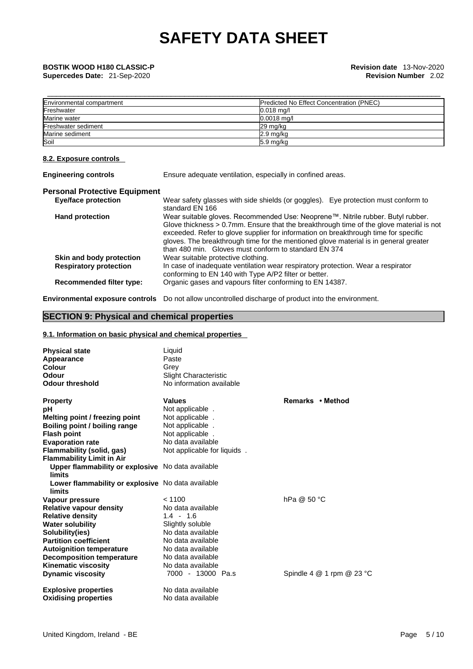| Environmental compartment | Predicted No Effect Concentration (PNEC) |
|---------------------------|------------------------------------------|
| Freshwater                | $0.018$ mg/l                             |
| Marine water              | $0.0018$ ma/l                            |
| Freshwater sediment       | 29 mg/kg                                 |
| Marine sediment           | $2.9$ mg/kg                              |
| Soil                      | $5.9 \text{ mg/kg}$                      |

# **8.2. Exposure controls**

| <b>Engineering controls</b>          | Ensure adequate ventilation, especially in confined areas.                                                                                                                                                                                                                                                                                                                                                        |
|--------------------------------------|-------------------------------------------------------------------------------------------------------------------------------------------------------------------------------------------------------------------------------------------------------------------------------------------------------------------------------------------------------------------------------------------------------------------|
| <b>Personal Protective Equipment</b> |                                                                                                                                                                                                                                                                                                                                                                                                                   |
| <b>Eye/face protection</b>           | Wear safety glasses with side shields (or goggles). Eye protection must conform to<br>standard EN 166                                                                                                                                                                                                                                                                                                             |
| <b>Hand protection</b>               | Wear suitable gloves. Recommended Use: Neoprene™. Nitrile rubber. Butyl rubber.<br>Glove thickness > 0.7mm. Ensure that the breakthrough time of the glove material is not<br>exceeded. Refer to glove supplier for information on breakthrough time for specific<br>gloves. The breakthrough time for the mentioned glove material is in general greater<br>than 480 min. Gloves must conform to standard EN 374 |
| Skin and body protection             | Wear suitable protective clothing.                                                                                                                                                                                                                                                                                                                                                                                |
| <b>Respiratory protection</b>        | In case of inadequate ventilation wear respiratory protection. Wear a respirator<br>conforming to EN 140 with Type A/P2 filter or better.                                                                                                                                                                                                                                                                         |
| <b>Recommended filter type:</b>      | Organic gases and vapours filter conforming to EN 14387.                                                                                                                                                                                                                                                                                                                                                          |
|                                      |                                                                                                                                                                                                                                                                                                                                                                                                                   |

**Environmental exposure controls** Do not allow uncontrolled discharge of product into the environment.

# **SECTION 9: Physical and chemical properties**

# **9.1. Information on basic physical and chemical properties**

| <b>Physical state</b><br>Appearance<br>Colour<br>Odour<br><b>Odour threshold</b> | Liquid<br>Paste<br>Grey<br><b>Slight Characteristic</b><br>No information available |                               |
|----------------------------------------------------------------------------------|-------------------------------------------------------------------------------------|-------------------------------|
| <b>Property</b>                                                                  | <b>Values</b>                                                                       | Remarks • Method              |
| рH                                                                               | Not applicable.                                                                     |                               |
| Melting point / freezing point                                                   | Not applicable.                                                                     |                               |
| Boiling point / boiling range                                                    | Not applicable.                                                                     |                               |
| <b>Flash point</b>                                                               | Not applicable                                                                      |                               |
| <b>Evaporation rate</b>                                                          | No data available                                                                   |                               |
| <b>Flammability (solid, gas)</b>                                                 | Not applicable for liquids.                                                         |                               |
| <b>Flammability Limit in Air</b>                                                 |                                                                                     |                               |
| Upper flammability or explosive No data available<br><b>limits</b>               |                                                                                     |                               |
| Lower flammability or explosive No data available<br>limits                      |                                                                                     |                               |
| Vapour pressure                                                                  | < 1100                                                                              | hPa @ 50 °C                   |
| <b>Relative vapour density</b>                                                   | No data available                                                                   |                               |
| <b>Relative density</b>                                                          | $1.4 - 1.6$                                                                         |                               |
| <b>Water solubility</b>                                                          | Slightly soluble                                                                    |                               |
| Solubility(ies)                                                                  | No data available                                                                   |                               |
| <b>Partition coefficient</b>                                                     | No data available                                                                   |                               |
| <b>Autoignition temperature</b>                                                  | No data available                                                                   |                               |
| <b>Decomposition temperature</b>                                                 | No data available                                                                   |                               |
| <b>Kinematic viscosity</b>                                                       | No data available                                                                   |                               |
| <b>Dynamic viscosity</b>                                                         | 7000 - 13000 Pa.s                                                                   | Spindle 4 $@$ 1 rpm $@$ 23 °C |
| <b>Explosive properties</b>                                                      | No data available                                                                   |                               |
| <b>Oxidising properties</b>                                                      | No data available                                                                   |                               |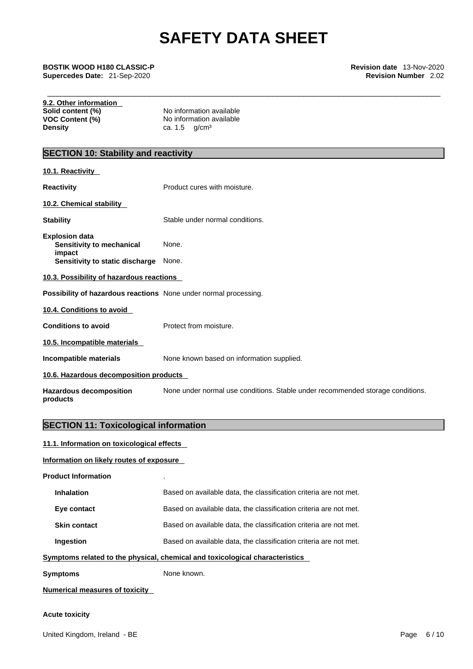\_\_\_\_\_\_\_\_\_\_\_\_\_\_\_\_\_\_\_\_\_\_\_\_\_\_\_\_\_\_\_\_\_\_\_\_\_\_\_\_\_\_\_\_\_\_\_\_\_\_\_\_\_\_\_\_\_\_\_\_\_\_\_\_\_\_\_\_\_\_\_\_\_\_\_\_\_\_\_\_\_\_\_\_\_\_\_\_\_ **BOSTIK WOOD H180 CLASSIC-P Revision date** 13-Nov-2020 **Supercedes Date:** 21-Sep-2020 **Revision Number** 2.02

| 9.2. Other information<br>Solid content (%)<br><b>VOC Content (%)</b> | No information available<br>No information available                           |
|-----------------------------------------------------------------------|--------------------------------------------------------------------------------|
| <b>Density</b>                                                        | g/cm <sup>3</sup><br>ca. 1.5                                                   |
| <b>SECTION 10: Stability and reactivity</b>                           |                                                                                |
| 10.1. Reactivity                                                      |                                                                                |
| <b>Reactivity</b>                                                     | Product cures with moisture.                                                   |
| 10.2. Chemical stability                                              |                                                                                |
| <b>Stability</b>                                                      | Stable under normal conditions.                                                |
| <b>Explosion data</b><br>Sensitivity to mechanical<br>impact          | None.                                                                          |
| Sensitivity to static discharge                                       | None.                                                                          |
| 10.3. Possibility of hazardous reactions                              |                                                                                |
| Possibility of hazardous reactions None under normal processing.      |                                                                                |
| 10.4. Conditions to avoid                                             |                                                                                |
| <b>Conditions to avoid</b>                                            | Protect from moisture.                                                         |
| 10.5. Incompatible materials                                          |                                                                                |
| Incompatible materials                                                | None known based on information supplied.                                      |
| 10.6. Hazardous decomposition products                                |                                                                                |
| <b>Hazardous decomposition</b><br>products                            | None under normal use conditions. Stable under recommended storage conditions. |
| <b>SECTION 11: Toxicological information</b>                          |                                                                                |
|                                                                       |                                                                                |

# **11.1. Information on toxicological effects**

# **Information on likely routes of exposure**

| <b>Product Information</b>     |                                                                              |
|--------------------------------|------------------------------------------------------------------------------|
| Inhalation                     | Based on available data, the classification criteria are not met.            |
| Eye contact                    | Based on available data, the classification criteria are not met.            |
| <b>Skin contact</b>            | Based on available data, the classification criteria are not met.            |
| Ingestion                      | Based on available data, the classification criteria are not met.            |
|                                | Symptoms related to the physical, chemical and toxicological characteristics |
| <b>Symptoms</b>                | None known.                                                                  |
| Numerical measures of toxicity |                                                                              |

# **Acute toxicity**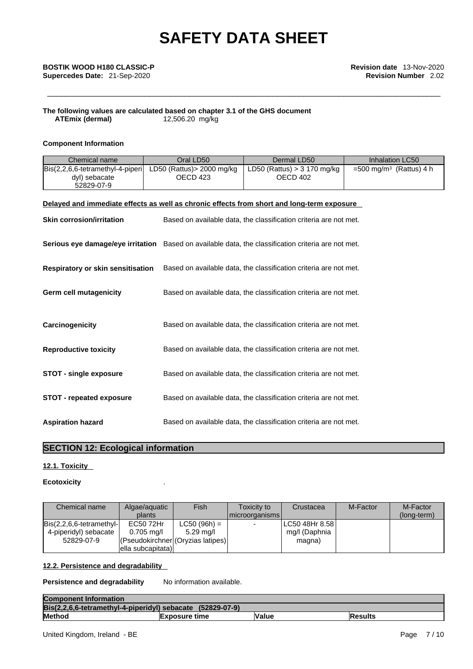# **The following values are calculated based on chapter 3.1 of the GHS document ATEmix (dermal)**12,506.20 mg/kg

# **Component Information**

| Chemical name                                                                                       | Oral LD50                              | Dermal LD50                                                       | Inhalation LC50                        |
|-----------------------------------------------------------------------------------------------------|----------------------------------------|-------------------------------------------------------------------|----------------------------------------|
| Bis(2,2,6,6-tetramethyl-4-piperi<br>dyl) sebacate<br>52829-07-9                                     | LD50 (Rattus) > 2000 mg/kg<br>OECD 423 | LD50 (Rattus) > 3 170 mg/kg<br>OECD 402                           | $=$ 500 mg/m <sup>3</sup> (Rattus) 4 h |
| Delayed and immediate effects as well as chronic effects from short and long-term exposure          |                                        |                                                                   |                                        |
| <b>Skin corrosion/irritation</b>                                                                    |                                        | Based on available data, the classification criteria are not met. |                                        |
| Serious eye damage/eye irritation Based on available data, the classification criteria are not met. |                                        |                                                                   |                                        |
| <b>Respiratory or skin sensitisation</b>                                                            |                                        | Based on available data, the classification criteria are not met. |                                        |
| <b>Germ cell mutagenicity</b>                                                                       |                                        | Based on available data, the classification criteria are not met. |                                        |
| Carcinogenicity                                                                                     |                                        | Based on available data, the classification criteria are not met. |                                        |
| <b>Reproductive toxicity</b>                                                                        |                                        | Based on available data, the classification criteria are not met. |                                        |
| <b>STOT - single exposure</b>                                                                       |                                        | Based on available data, the classification criteria are not met. |                                        |
| <b>STOT - repeated exposure</b>                                                                     |                                        | Based on available data, the classification criteria are not met. |                                        |
| <b>Aspiration hazard</b>                                                                            |                                        | Based on available data, the classification criteria are not met. |                                        |

# **SECTION 12: Ecological information**

# **12.1. Toxicity**

# **Ecotoxicity** .

| Chemical name                              | Algae/aguatic                      | <b>Fish</b>    | Toxicity to    | Crustacea         | M-Factor | M-Factor    |
|--------------------------------------------|------------------------------------|----------------|----------------|-------------------|----------|-------------|
|                                            | plants                             |                | microorganisms |                   |          | (long-term) |
| $\textsf{Bis}(2,2,6,6\text{-tetramethvl-}$ | EC50 72Hr                          | $LC50 (96h) =$ |                | ILC50 48Hr 8.58 I |          |             |
| 4-piperidyl) sebacate                      | $0.705$ mg/l                       | $5.29$ mg/l    |                | mg/l (Daphnia     |          |             |
| 52829-07-9                                 | (Pseudokirchner) (Oryzias latipes) |                |                | magna)            |          |             |
|                                            | ella subcapitata)                  |                |                |                   |          |             |

### **12.2. Persistence and degradability**

**Persistence and degradability** No information available.

| <b>Component Information</b>                               |                      |       |                 |
|------------------------------------------------------------|----------------------|-------|-----------------|
| Bis(2.2.6.6-tetramethyl-4-piperidyl) sebacate (52829-07-9) |                      |       |                 |
| <b>Method</b>                                              | <b>Exposure time</b> | Value | <b>IResults</b> |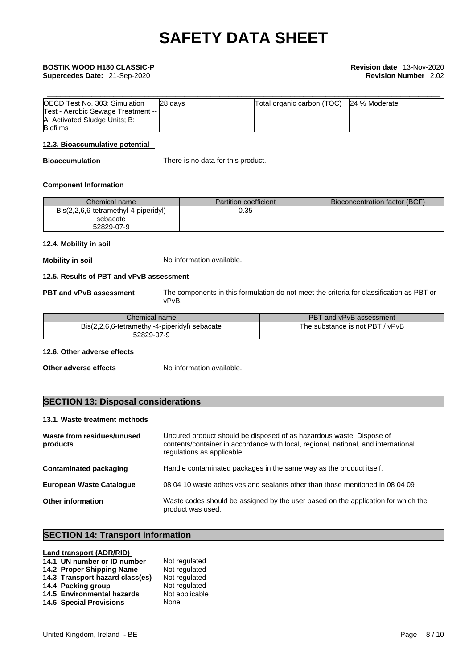| OECD Test No. 303: Simulation                                       | 28 davs | Total organic carbon (TOC) 24 % Moderate |  |
|---------------------------------------------------------------------|---------|------------------------------------------|--|
| Test - Aerobic Sewage Treatment --<br>A: Activated Sludge Units; B: |         |                                          |  |
| <b>Biofilms</b>                                                     |         |                                          |  |

# **12.3. Bioaccumulative potential**

**Bioaccumulation** There is no data for this product.

## **Component Information**

| Chemical name l                      | <b>Partition coefficient</b> | Bioconcentration factor (BCF) |
|--------------------------------------|------------------------------|-------------------------------|
| Bis(2,2,6,6-tetramethyl-4-piperidyl) | 0.35                         |                               |
| sebacate                             |                              |                               |
| 52829-07-9                           |                              |                               |

# **12.4. Mobility in soil**

**Mobility in soil** No information available.

# **12.5. Results of PBT and vPvB assessment**

**PBT and vPvB assessment** The components in this formulation do not meet the criteria for classification as PBT or vPvB.

| Chemical name                                               | PBT and vPvB assessment            |
|-------------------------------------------------------------|------------------------------------|
| Bis(2,2,6,6-tetramethyl-4-piperidyl) sebacate<br>52829-07-9 | The substance is not PBT<br>/ vPvB |
|                                                             |                                    |

# **12.6. Other adverse effects**

**Other adverse effects** No information available.

# **SECTION 13: Disposal considerations**

# **13.1. Waste treatment methods**

| Waste from residues/unused<br>products | Uncured product should be disposed of as hazardous waste. Dispose of<br>contents/container in accordance with local, regional, national, and international<br>regulations as applicable. |
|----------------------------------------|------------------------------------------------------------------------------------------------------------------------------------------------------------------------------------------|
| <b>Contaminated packaging</b>          | Handle contaminated packages in the same way as the product itself.                                                                                                                      |
| <b>European Waste Catalogue</b>        | 08 04 10 waste adhesives and sealants other than those mentioned in 08 04 09                                                                                                             |
| <b>Other information</b>               | Waste codes should be assigned by the user based on the application for which the<br>product was used.                                                                                   |

# **SECTION 14: Transport information**

## **Land transport (ADR/RID)**

| 14.1 UN number or ID number     | Not regulated  |
|---------------------------------|----------------|
| 14.2 Proper Shipping Name       | Not regulated  |
| 14.3 Transport hazard class(es) | Not regulated  |
| 14.4 Packing group              | Not regulated  |
| 14.5 Environmental hazards      | Not applicable |
| <b>14.6 Special Provisions</b>  | None           |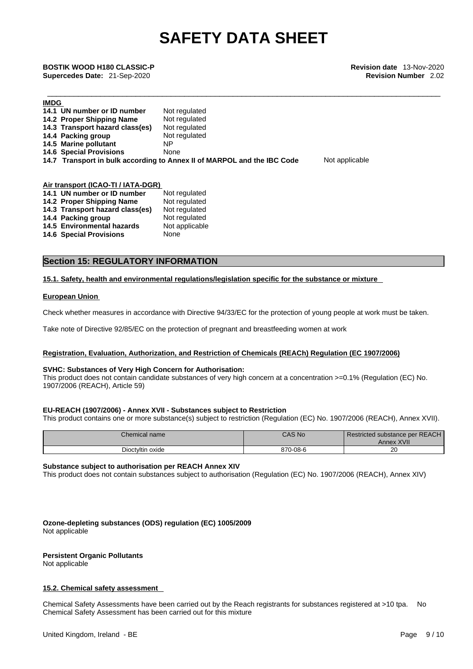\_\_\_\_\_\_\_\_\_\_\_\_\_\_\_\_\_\_\_\_\_\_\_\_\_\_\_\_\_\_\_\_\_\_\_\_\_\_\_\_\_\_\_\_\_\_\_\_\_\_\_\_\_\_\_\_\_\_\_\_\_\_\_\_\_\_\_\_\_\_\_\_\_\_\_\_\_\_\_\_\_\_\_\_\_\_\_\_\_ **BOSTIK WOOD H180 CLASSIC-P Revision date** 13-Nov-2020 **Supercedes Date:** 21-Sep-2020 **Revision Number** 2.02

**Not applicable** 

| <b>IMDG</b>                        |                                                                         |
|------------------------------------|-------------------------------------------------------------------------|
| 14.1 UN number or ID number        | Not regulated                                                           |
| 14.2 Proper Shipping Name          | Not regulated                                                           |
| 14.3 Transport hazard class(es)    | Not regulated                                                           |
| 14.4 Packing group                 | Not regulated                                                           |
| 14.5 Marine pollutant              | ΝP                                                                      |
| <b>14.6 Special Provisions</b>     | None                                                                    |
|                                    | 14.7 Transport in bulk according to Annex II of MARPOL and the IBC Code |
|                                    |                                                                         |
|                                    |                                                                         |
| Air transport (ICAO-TI / IATA-DGR) |                                                                         |
| 14.1 UN number or ID number        | Not regulated                                                           |
| 14.2 Proper Shipping Name          | Not regulated                                                           |
| 14.3 Transport hazard class(es)    | Not regulated                                                           |

# **Section 15: REGULATORY INFORMATION**

**14.4 Packing group 14.4 Packing group** 14.5 Environmental hazards Not applicable

**14.6 Special Provisions** None

### **15.1. Safety, health and environmental regulations/legislation specific for the substance or mixture**

### **European Union**

Check whether measures in accordance with Directive 94/33/EC for the protection of young people at work must be taken.

Take note of Directive 92/85/EC on the protection of pregnant and breastfeeding women at work

# **Registration, Evaluation, Authorization, and Restriction of Chemicals (REACh) Regulation (EC 1907/2006)**

### **SVHC: Substances of Very High Concern for Authorisation:**

This product does not contain candidate substances of very high concern at a concentration >=0.1% (Regulation (EC) No. 1907/2006 (REACH), Article 59)

### **EU-REACH (1907/2006) - Annex XVII - Substances subject to Restriction**

This product contains one or more substance(s) subject to restriction (Regulation (EC) No. 1907/2006 (REACH), Annex XVII).

| Chemical name    | CAS No   | <b>Restricted substance per REACH</b><br>XVII<br>Annex |
|------------------|----------|--------------------------------------------------------|
| Dioctyltin oxide | 870-08-6 | or<br>ZU.                                              |

## **Substance subject to authorisation per REACH Annex XIV**

This product does not contain substances subject to authorisation (Regulation (EC) No. 1907/2006 (REACH), Annex XIV)

**Ozone-depleting substances (ODS) regulation (EC) 1005/2009** Not applicable

**Persistent Organic Pollutants**

Not applicable

### **15.2. Chemical safety assessment**

Chemical Safety Assessments have been carried out by the Reach registrants for substances registered at >10 tpa. No Chemical Safety Assessment has been carried out for this mixture